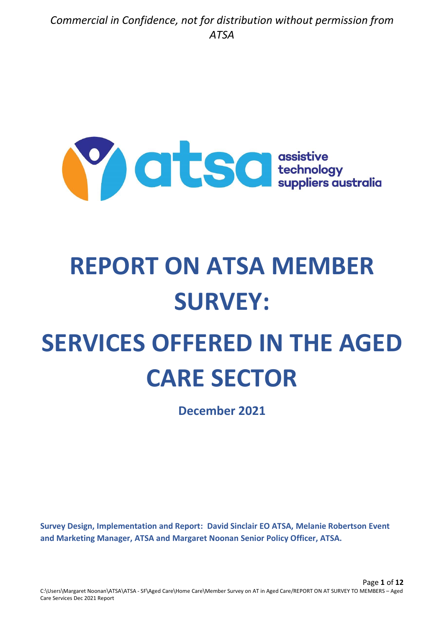

# **REPORT ON ATSA MEMBER SURVEY:**

# **SERVICES OFFERED IN THE AGED CARE SECTOR**

**December 2021**

**Survey Design, Implementation and Report: David Sinclair EO ATSA, Melanie Robertson Event and Marketing Manager, ATSA and Margaret Noonan Senior Policy Officer, ATSA.**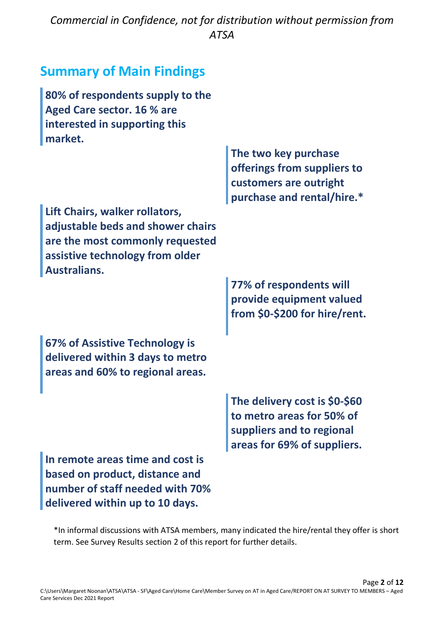## **Summary of Main Findings**

| 80% of respondents supply to the<br>Aged Care sector. 16 % are<br>interested in supporting this<br>market.                                                |                                                                                                                        |
|-----------------------------------------------------------------------------------------------------------------------------------------------------------|------------------------------------------------------------------------------------------------------------------------|
|                                                                                                                                                           | The two key purchase<br>offerings from suppliers to<br>customers are outright<br>purchase and rental/hire.*            |
| Lift Chairs, walker rollators,<br>adjustable beds and shower chairs<br>are the most commonly requested<br>assistive technology from older<br>Australians. |                                                                                                                        |
|                                                                                                                                                           | 77% of respondents will<br>provide equipment valued<br>from \$0-\$200 for hire/rent.                                   |
| 67% of Assistive Technology is<br>delivered within 3 days to metro<br>areas and 60% to regional areas.                                                    |                                                                                                                        |
|                                                                                                                                                           | The delivery cost is \$0-\$60<br>to metro areas for 50% of<br>suppliers and to regional<br>areas for 69% of suppliers. |
| In remote areas time and cost is<br>based on product, distance and<br>number of staff needed with 70%<br>delivered within up to 10 days.                  |                                                                                                                        |

\*In informal discussions with ATSA members, many indicated the hire/rental they offer is short term. See Survey Results section 2 of this report for further details.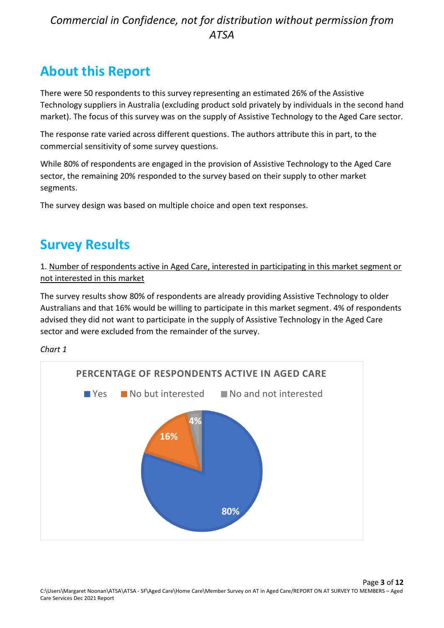# **About this Report**

There were 50 respondents to this survey representing an estimated 26% of the Assistive Technology suppliers in Australia (excluding product sold privately by individuals in the second hand market). The focus of this survey was on the supply of Assistive Technology to the Aged Care sector.

The response rate varied across different questions. The authors attribute this in part, to the commercial sensitivity of some survey questions.

While 80% of respondents are engaged in the provision of Assistive Technology to the Aged Care sector, the remaining 20% responded to the survey based on their supply to other market segments.

The survey design was based on multiple choice and open text responses.

# **Survey Results**

1. Number of respondents active in Aged Care, interested in participating in this market segment or not interested in this market

The survey results show 80% of respondents are already providing Assistive Technology to older Australians and that 16% would be willing to participate in this market segment. 4% of respondents advised they did not want to participate in the supply of Assistive Technology in the Aged Care sector and were excluded from the remainder of the survey.

*Chart 1*

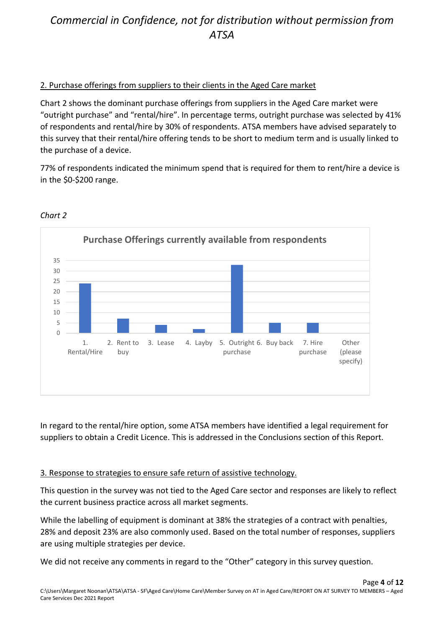## 2. Purchase offerings from suppliers to their clients in the Aged Care market

Chart 2 shows the dominant purchase offerings from suppliers in the Aged Care market were "outright purchase" and "rental/hire". In percentage terms, outright purchase was selected by 41% of respondents and rental/hire by 30% of respondents. ATSA members have advised separately to this survey that their rental/hire offering tends to be short to medium term and is usually linked to the purchase of a device.

77% of respondents indicated the minimum spend that is required for them to rent/hire a device is in the \$0-\$200 range.



#### *Chart 2*

In regard to the rental/hire option, some ATSA members have identified a legal requirement for suppliers to obtain a Credit Licence. This is addressed in the Conclusions section of this Report.

#### 3. Response to strategies to ensure safe return of assistive technology.

This question in the survey was not tied to the Aged Care sector and responses are likely to reflect the current business practice across all market segments.

While the labelling of equipment is dominant at 38% the strategies of a contract with penalties, 28% and deposit 23% are also commonly used. Based on the total number of responses, suppliers are using multiple strategies per device.

We did not receive any comments in regard to the "Other" category in this survey question.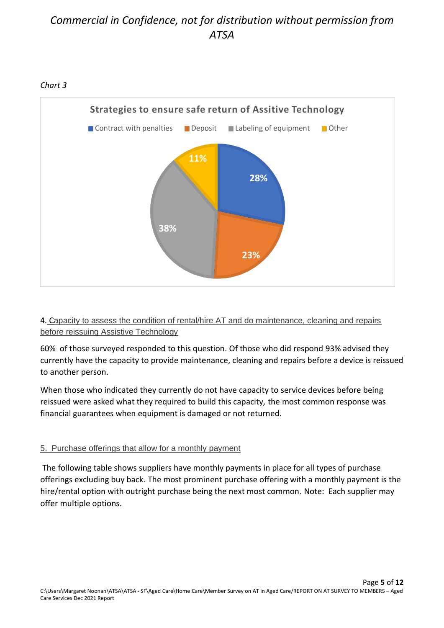

## 4. Capacity to assess the condition of rental/hire AT and do maintenance, cleaning and repairs before reissuing Assistive Technology

60% of those surveyed responded to this question. Of those who did respond 93% advised they currently have the capacity to provide maintenance, cleaning and repairs before a device is reissued to another person.

When those who indicated they currently do not have capacity to service devices before being reissued were asked what they required to build this capacity, the most common response was financial guarantees when equipment is damaged or not returned.

## 5. Purchase offerings that allow for a monthly payment

The following table shows suppliers have monthly payments in place for all types of purchase offerings excluding buy back. The most prominent purchase offering with a monthly payment is the hire/rental option with outright purchase being the next most common. Note: Each supplier may offer multiple options.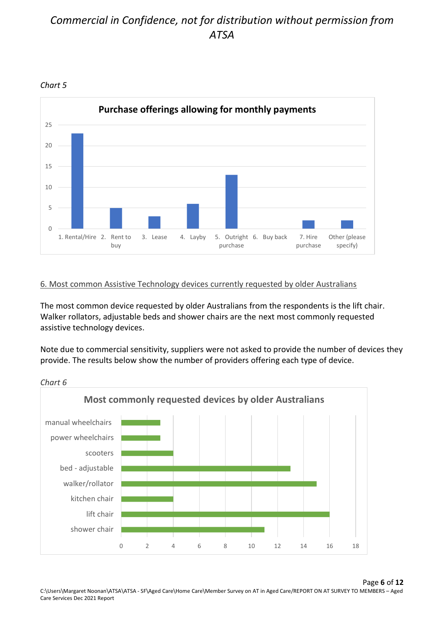

#### *Chart 5*

## 6. Most common Assistive Technology devices currently requested by older Australians

The most common device requested by older Australians from the respondents is the lift chair. Walker rollators, adjustable beds and shower chairs are the next most commonly requested assistive technology devices.

Note due to commercial sensitivity, suppliers were not asked to provide the number of devices they provide. The results below show the number of providers offering each type of device.



*Chart 6*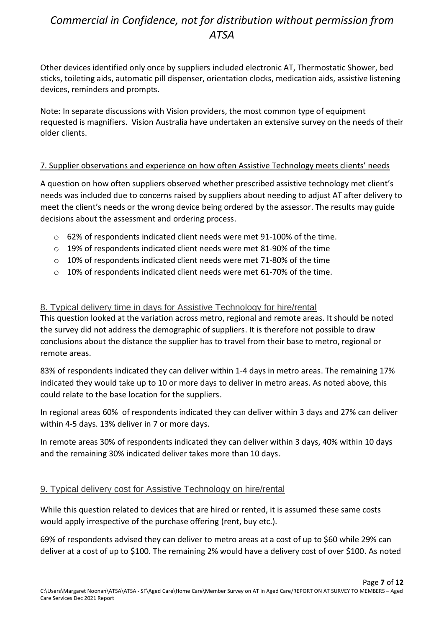Other devices identified only once by suppliers included electronic AT, Thermostatic Shower, bed sticks, toileting aids, automatic pill dispenser, orientation clocks, medication aids, assistive listening devices, reminders and prompts.

Note: In separate discussions with Vision providers, the most common type of equipment requested is magnifiers. Vision Australia have undertaken an extensive survey on the needs of their older clients.

#### 7. Supplier observations and experience on how often Assistive Technology meets clients' needs

A question on how often suppliers observed whether prescribed assistive technology met client's needs was included due to concerns raised by suppliers about needing to adjust AT after delivery to meet the client's needs or the wrong device being ordered by the assessor. The results may guide decisions about the assessment and ordering process.

- $\circ$  62% of respondents indicated client needs were met 91-100% of the time.
- o 19% of respondents indicated client needs were met 81-90% of the time
- $\circ$  10% of respondents indicated client needs were met 71-80% of the time
- $\circ$  10% of respondents indicated client needs were met 61-70% of the time.

#### 8. Typical delivery time in days for Assistive Technology for hire/rental

This question looked at the variation across metro, regional and remote areas. It should be noted the survey did not address the demographic of suppliers. It is therefore not possible to draw conclusions about the distance the supplier has to travel from their base to metro, regional or remote areas.

83% of respondents indicated they can deliver within 1-4 days in metro areas. The remaining 17% indicated they would take up to 10 or more days to deliver in metro areas. As noted above, this could relate to the base location for the suppliers.

In regional areas 60% of respondents indicated they can deliver within 3 days and 27% can deliver within 4-5 days. 13% deliver in 7 or more days.

In remote areas 30% of respondents indicated they can deliver within 3 days, 40% within 10 days and the remaining 30% indicated deliver takes more than 10 days.

## 9. Typical delivery cost for Assistive Technology on hire/rental

While this question related to devices that are hired or rented, it is assumed these same costs would apply irrespective of the purchase offering (rent, buy etc.).

69% of respondents advised they can deliver to metro areas at a cost of up to \$60 while 29% can deliver at a cost of up to \$100. The remaining 2% would have a delivery cost of over \$100. As noted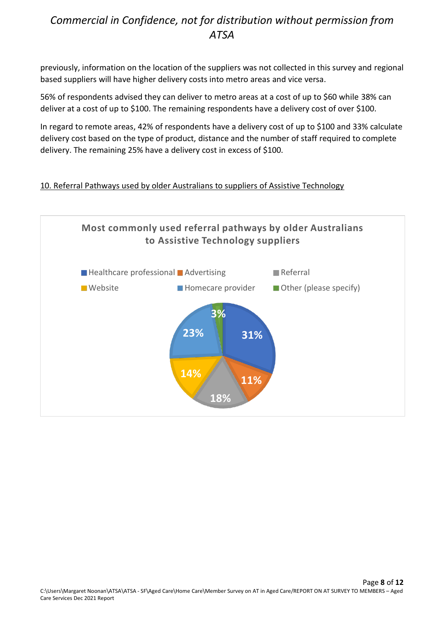previously, information on the location of the suppliers was not collected in this survey and regional based suppliers will have higher delivery costs into metro areas and vice versa.

56% of respondents advised they can deliver to metro areas at a cost of up to \$60 while 38% can deliver at a cost of up to \$100. The remaining respondents have a delivery cost of over \$100.

In regard to remote areas, 42% of respondents have a delivery cost of up to \$100 and 33% calculate delivery cost based on the type of product, distance and the number of staff required to complete delivery. The remaining 25% have a delivery cost in excess of \$100.

## 10. Referral Pathways used by older Australians to suppliers of Assistive Technology

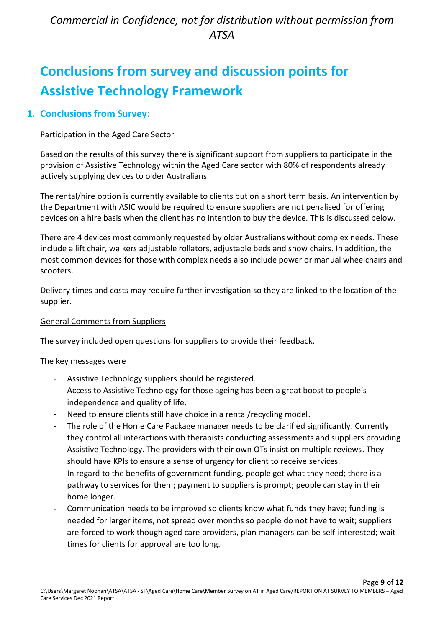# **Conclusions from survey and discussion points for Assistive Technology Framework**

## **1. Conclusions from Survey:**

## Participation in the Aged Care Sector

Based on the results of this survey there is significant support from suppliers to participate in the provision of Assistive Technology within the Aged Care sector with 80% of respondents already actively supplying devices to older Australians.

The rental/hire option is currently available to clients but on a short term basis. An intervention by the Department with ASIC would be required to ensure suppliers are not penalised for offering devices on a hire basis when the client has no intention to buy the device. This is discussed below.

There are 4 devices most commonly requested by older Australians without complex needs. These include a lift chair, walkers adjustable rollators, adjustable beds and show chairs. In addition, the most common devices for those with complex needs also include power or manual wheelchairs and scooters.

Delivery times and costs may require further investigation so they are linked to the location of the supplier.

## General Comments from Suppliers

The survey included open questions for suppliers to provide their feedback.

The key messages were

- Assistive Technology suppliers should be registered.
- Access to Assistive Technology for those ageing has been a great boost to people's independence and quality of life.
- Need to ensure clients still have choice in a rental/recycling model.
- The role of the Home Care Package manager needs to be clarified significantly. Currently they control all interactions with therapists conducting assessments and suppliers providing Assistive Technology. The providers with their own OTs insist on multiple reviews. They should have KPIs to ensure a sense of urgency for client to receive services.
- In regard to the benefits of government funding, people get what they need; there is a pathway to services for them; payment to suppliers is prompt; people can stay in their home longer.
- Communication needs to be improved so clients know what funds they have; funding is needed for larger items, not spread over months so people do not have to wait; suppliers are forced to work though aged care providers, plan managers can be self-interested; wait times for clients for approval are too long.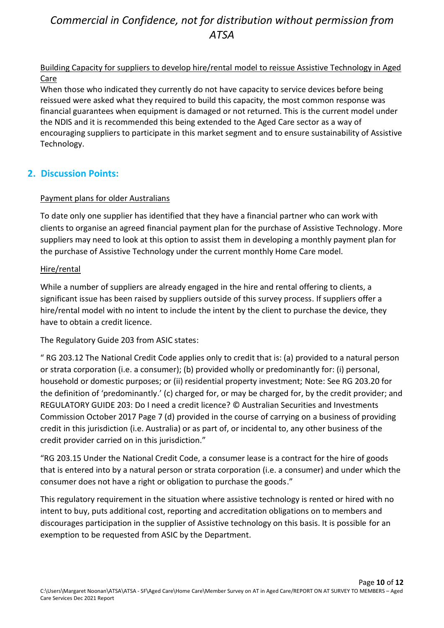## Building Capacity for suppliers to develop hire/rental model to reissue Assistive Technology in Aged Care

When those who indicated they currently do not have capacity to service devices before being reissued were asked what they required to build this capacity, the most common response was financial guarantees when equipment is damaged or not returned. This is the current model under the NDIS and it is recommended this being extended to the Aged Care sector as a way of encouraging suppliers to participate in this market segment and to ensure sustainability of Assistive Technology.

## **2. Discussion Points:**

## Payment plans for older Australians

To date only one supplier has identified that they have a financial partner who can work with clients to organise an agreed financial payment plan for the purchase of Assistive Technology. More suppliers may need to look at this option to assist them in developing a monthly payment plan for the purchase of Assistive Technology under the current monthly Home Care model.

## Hire/rental

While a number of suppliers are already engaged in the hire and rental offering to clients, a significant issue has been raised by suppliers outside of this survey process. If suppliers offer a hire/rental model with no intent to include the intent by the client to purchase the device, they have to obtain a credit licence.

The Regulatory Guide 203 from ASIC states:

" RG 203.12 The National Credit Code applies only to credit that is: (a) provided to a natural person or strata corporation (i.e. a consumer); (b) provided wholly or predominantly for: (i) personal, household or domestic purposes; or (ii) residential property investment; Note: See RG 203.20 for the definition of 'predominantly.' (c) charged for, or may be charged for, by the credit provider; and REGULATORY GUIDE 203: Do I need a credit licence? © Australian Securities and Investments Commission October 2017 Page 7 (d) provided in the course of carrying on a business of providing credit in this jurisdiction (i.e. Australia) or as part of, or incidental to, any other business of the credit provider carried on in this jurisdiction."

"RG 203.15 Under the National Credit Code, a consumer lease is a contract for the hire of goods that is entered into by a natural person or strata corporation (i.e. a consumer) and under which the consumer does not have a right or obligation to purchase the goods."

This regulatory requirement in the situation where assistive technology is rented or hired with no intent to buy, puts additional cost, reporting and accreditation obligations on to members and discourages participation in the supplier of Assistive technology on this basis. It is possible for an exemption to be requested from ASIC by the Department.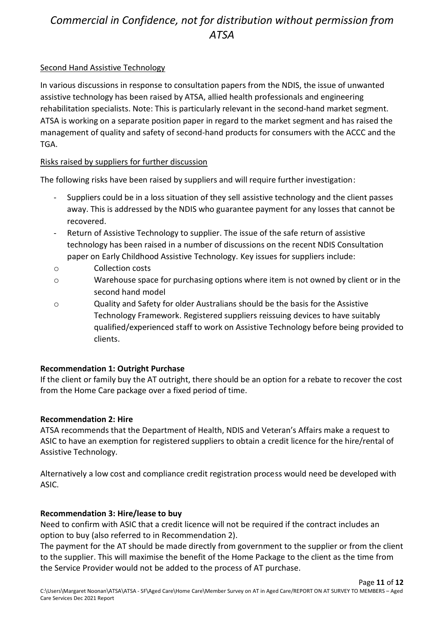#### Second Hand Assistive Technology

In various discussions in response to consultation papers from the NDIS, the issue of unwanted assistive technology has been raised by ATSA, allied health professionals and engineering rehabilitation specialists. Note: This is particularly relevant in the second-hand market segment. ATSA is working on a separate position paper in regard to the market segment and has raised the management of quality and safety of second-hand products for consumers with the ACCC and the TGA.

#### Risks raised by suppliers for further discussion

The following risks have been raised by suppliers and will require further investigation:

- Suppliers could be in a loss situation of they sell assistive technology and the client passes away. This is addressed by the NDIS who guarantee payment for any losses that cannot be recovered.
- Return of Assistive Technology to supplier. The issue of the safe return of assistive technology has been raised in a number of discussions on the recent NDIS Consultation paper on Early Childhood Assistive Technology. Key issues for suppliers include:
- o Collection costs
- o Warehouse space for purchasing options where item is not owned by client or in the second hand model
- o Quality and Safety for older Australians should be the basis for the Assistive Technology Framework. Registered suppliers reissuing devices to have suitably qualified/experienced staff to work on Assistive Technology before being provided to clients.

## **Recommendation 1: Outright Purchase**

If the client or family buy the AT outright, there should be an option for a rebate to recover the cost from the Home Care package over a fixed period of time.

## **Recommendation 2: Hire**

ATSA recommends that the Department of Health, NDIS and Veteran's Affairs make a request to ASIC to have an exemption for registered suppliers to obtain a credit licence for the hire/rental of Assistive Technology.

Alternatively a low cost and compliance credit registration process would need be developed with ASIC.

## **Recommendation 3: Hire/lease to buy**

Need to confirm with ASIC that a credit licence will not be required if the contract includes an option to buy (also referred to in Recommendation 2).

The payment for the AT should be made directly from government to the supplier or from the client to the supplier. This will maximise the benefit of the Home Package to the client as the time from the Service Provider would not be added to the process of AT purchase.